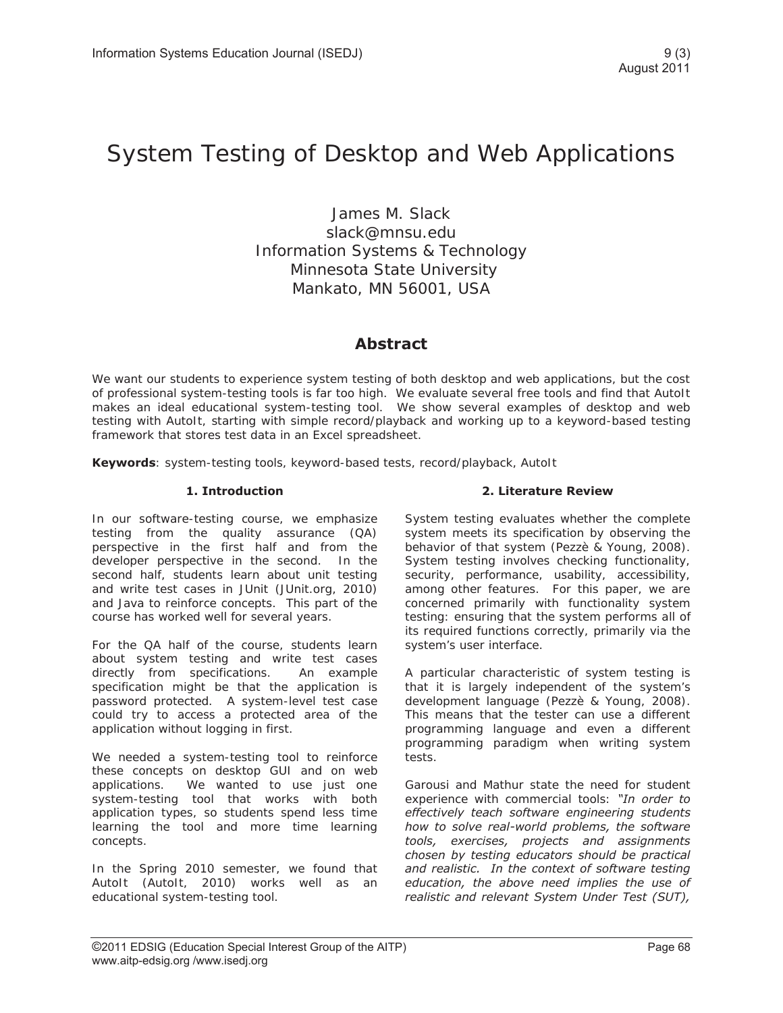# System Testing of Desktop and Web Applications

James M. Slack slack@mnsu.edu Information Systems & Technology Minnesota State University Mankato, MN 56001, USA

# **Abstract**

We want our students to experience system testing of both desktop and web applications, but the cost of professional system-testing tools is far too high. We evaluate several free tools and find that AutoIt makes an ideal educational system-testing tool. We show several examples of desktop and web testing with AutoIt, starting with simple record/playback and working up to a keyword-based testing framework that stores test data in an Excel spreadsheet.

**Keywords**: system-testing tools, keyword-based tests, record/playback, AutoIt

#### **1. Introduction**

In our software-testing course, we emphasize testing from the quality assurance (QA) perspective in the first half and from the developer perspective in the second. In the second half, students learn about unit testing and write test cases in JUnit (JUnit.org, 2010) and Java to reinforce concepts. This part of the course has worked well for several years.

For the QA half of the course, students learn about system testing and write test cases directly from specifications. An example specification might be that the application is password protected. A system-level test case could try to access a protected area of the application without logging in first.

We needed a system-testing tool to reinforce these concepts on desktop GUI and on web applications. We wanted to use just one system-testing tool that works with both application types, so students spend less time learning the tool and more time learning concepts.

In the Spring 2010 semester, we found that AutoIt (AutoIt, 2010) works well as an educational system-testing tool.

#### **2. Literature Review**

System testing evaluates whether the complete system meets its specification by observing the behavior of that system (Pezzè & Young, 2008). System testing involves checking functionality, security, performance, usability, accessibility, among other features. For this paper, we are concerned primarily with functionality system testing: ensuring that the system performs all of its required functions correctly, primarily via the system's user interface.

A particular characteristic of system testing is that it is largely independent of the system's development language (Pezzè & Young, 2008). This means that the tester can use a different programming language and even a different programming paradigm when writing system tests.

Garousi and Mathur state the need for student experience with commercial tools: *"In order to effectively teach software engineering students how to solve real-world problems, the software tools, exercises, projects and assignments chosen by testing educators should be practical and realistic. In the context of software testing education, the above need implies the use of realistic and relevant System Under Test (SUT),*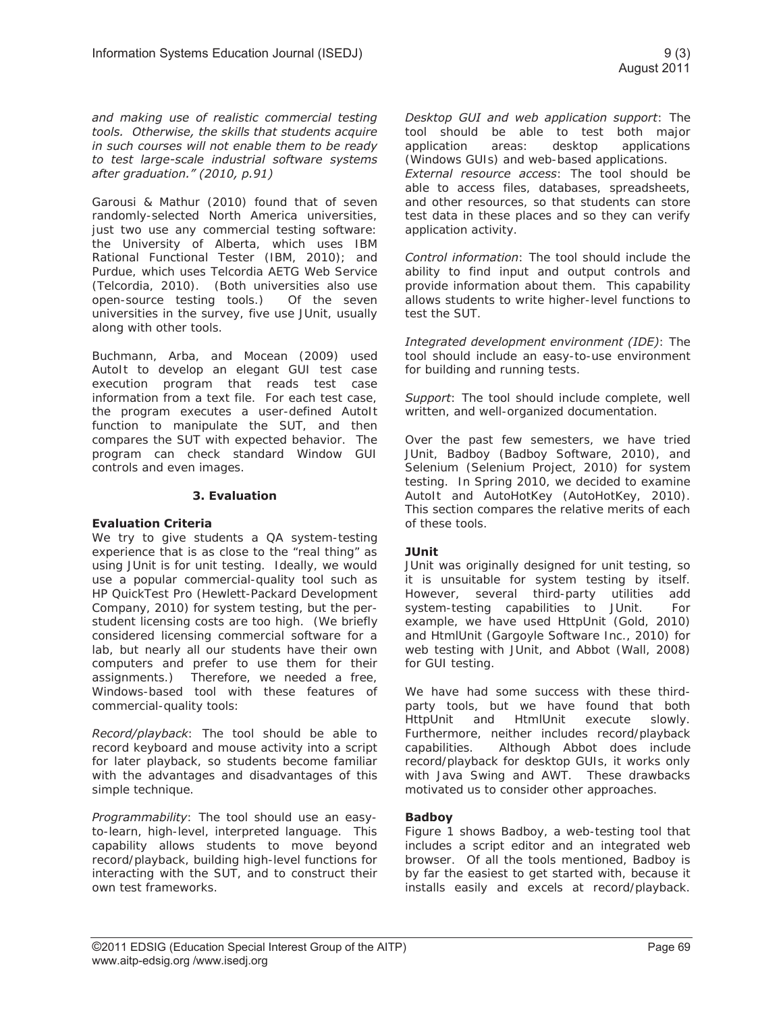*and making use of realistic commercial testing tools. Otherwise, the skills that students acquire in such courses will not enable them to be ready to test large-scale industrial software systems after graduation." (2010, p.91)* 

Garousi & Mathur (2010) found that of seven randomly-selected North America universities, just two use any commercial testing software: the University of Alberta, which uses IBM Rational Functional Tester (IBM, 2010); and Purdue, which uses Telcordia AETG Web Service (Telcordia, 2010). (Both universities also use open-source testing tools.) Of the seven universities in the survey, five use JUnit, usually along with other tools.

Buchmann, Arba, and Mocean (2009) used AutoIt to develop an elegant GUI test case execution program that reads test case information from a text file. For each test case, the program executes a user-defined AutoIt function to manipulate the SUT, and then compares the SUT with expected behavior. The program can check standard Window GUI controls and even images.

#### **3. Evaluation**

#### **Evaluation Criteria**

We try to give students a QA system-testing experience that is as close to the "real thing" as using JUnit is for unit testing. Ideally, we would use a popular commercial-quality tool such as HP QuickTest Pro (Hewlett-Packard Development Company, 2010) for system testing, but the perstudent licensing costs are too high. (We briefly considered licensing commercial software for a lab, but nearly all our students have their own computers and prefer to use them for their assignments.) Therefore, we needed a free, Windows-based tool with these features of commercial-quality tools:

*Record/playback*: The tool should be able to record keyboard and mouse activity into a script for later playback, so students become familiar with the advantages and disadvantages of this simple technique.

*Programmability*: The tool should use an easyto-learn, high-level, interpreted language. This capability allows students to move beyond record/playback, building high-level functions for interacting with the SUT, and to construct their own test frameworks.

*Desktop GUI and web application support*: The tool should be able to test both major application areas: desktop applications (Windows GUIs) and web-based applications. *External resource access*: The tool should be able to access files, databases, spreadsheets, and other resources, so that students can store test data in these places and so they can verify application activity.

*Control information*: The tool should include the ability to find input and output controls and provide information about them. This capability allows students to write higher-level functions to test the SUT.

*Integrated development environment (IDE)*: The tool should include an easy-to-use environment for building and running tests.

*Support*: The tool should include complete, well written, and well-organized documentation.

Over the past few semesters, we have tried JUnit, Badboy (Badboy Software, 2010), and Selenium (Selenium Project, 2010) for system testing. In Spring 2010, we decided to examine AutoIt and AutoHotKey (AutoHotKey, 2010). This section compares the relative merits of each of these tools.

#### **JUnit**

JUnit was originally designed for unit testing, so it is unsuitable for system testing by itself. However, several third-party utilities add system-testing capabilities to JUnit. For example, we have used HttpUnit (Gold, 2010) and HtmlUnit (Gargoyle Software Inc., 2010) for web testing with JUnit, and Abbot (Wall, 2008) for GUI testing.

We have had some success with these thirdparty tools, but we have found that both HttpUnit and HtmlUnit execute slowly. Furthermore, neither includes record/playback capabilities. Although Abbot does include record/playback for desktop GUIs, it works only with Java Swing and AWT. These drawbacks motivated us to consider other approaches.

#### **Badboy**

Figure 1 shows Badboy, a web-testing tool that includes a script editor and an integrated web browser. Of all the tools mentioned, Badboy is by far the easiest to get started with, because it installs easily and excels at record/playback.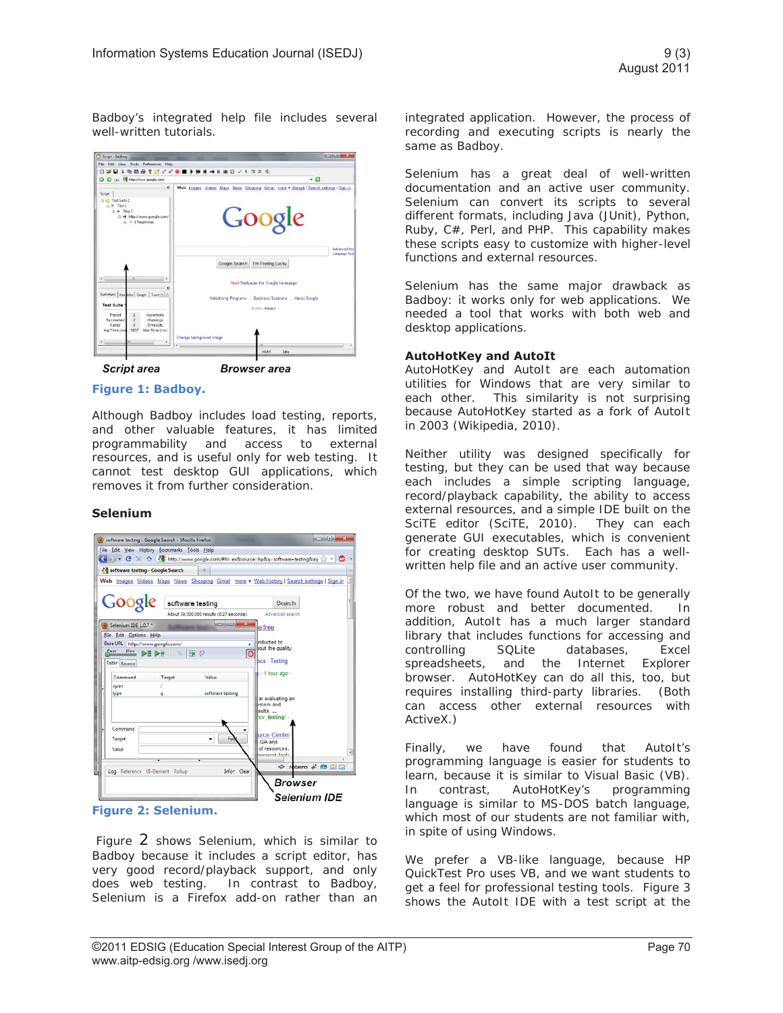Badboy's integrated help file includes several well-written tutorials.





**Browser** area

#### **Figure 1: Badboy.**

Although Badboy includes load testing, reports, and other valuable features, it has limited programmability and access to external resources, and is useful only for web testing. It cannot test desktop GUI applications, which removes it from further consideration.

#### **Selenium**



#### **Figure 2: Selenium.**

 Figure 2 shows Selenium, which is similar to Badboy because it includes a script editor, has very good record/playback support, and only does web testing. In contrast to Badboy, Selenium is a Firefox add-on rather than an

integrated application. However, the process of recording and executing scripts is nearly the same as Badboy.

Selenium has a great deal of well-written documentation and an active user community. Selenium can convert its scripts to several different formats, including Java (JUnit), Python, Ruby, C#, Perl, and PHP. This capability makes these scripts easy to customize with higher-level functions and external resources.

Selenium has the same major drawback as Badboy: it works only for web applications. We needed a tool that works with both web and desktop applications.

#### **AutoHotKey and AutoIt**

AutoHotKey and AutoIt are each automation utilities for Windows that are very similar to each other. This similarity is not surprising because AutoHotKey started as a fork of AutoIt in 2003 (Wikipedia, 2010).

Neither utility was designed specifically for testing, but they can be used that way because each includes a simple scripting language, record/playback capability, the ability to access external resources, and a simple IDE built on the SciTE editor (SciTE, 2010). They can each generate GUI executables, which is convenient for creating desktop SUTs. Each has a wellwritten help file and an active user community.

Of the two, we have found AutoIt to be generally more robust and better documented. In addition, AutoIt has a much larger standard library that includes functions for accessing and controlling SQLite databases, Excel spreadsheets, and the Internet Explorer browser. AutoHotKey can do all this, too, but requires installing third-party libraries. (Both can access other external resources with ActiveX.)

Finally, we have found that AutoIt's programming language is easier for students to learn, because it is similar to Visual Basic (VB). In contrast, AutoHotKey's programming language is similar to MS-DOS batch language, which most of our students are not familiar with, in spite of using Windows.

We prefer a VB-like language, because HP QuickTest Pro uses VB, and we want students to get a feel for professional testing tools. Figure 3 shows the AutoIt IDE with a test script at the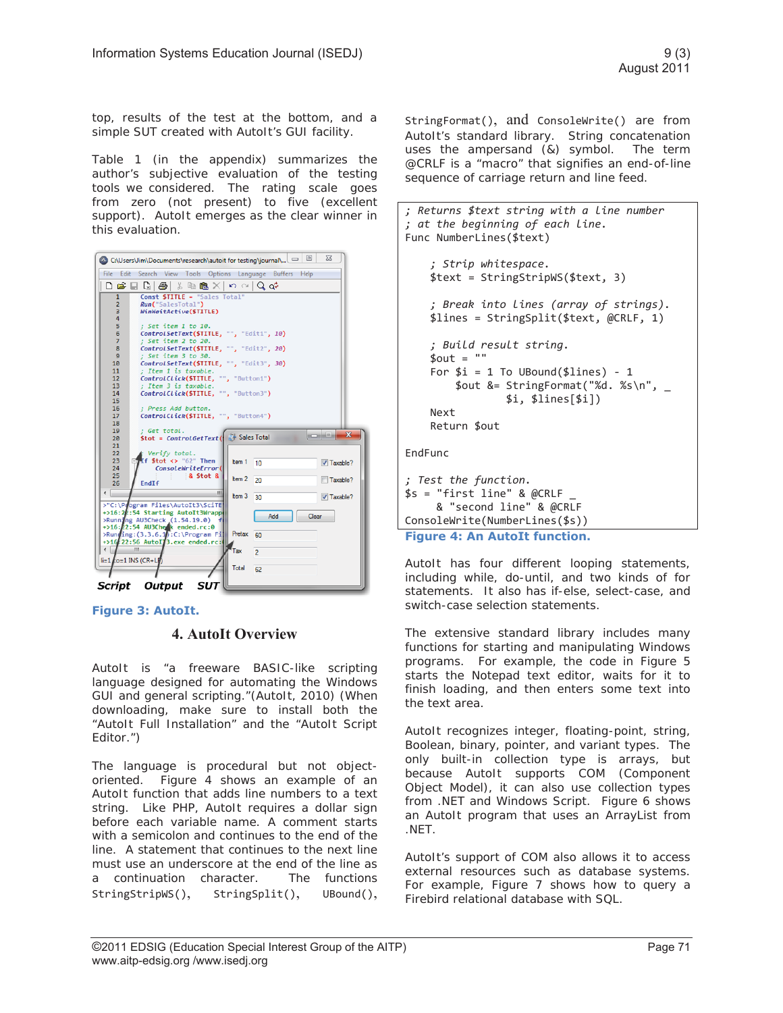top, results of the test at the bottom, and a simple SUT created with AutoIt's GUI facility.

Table 1 (in the appendix) summarizes the author's subjective evaluation of the testing tools we considered. The rating scale goes from zero (not present) to five (excellent support). AutoIt emerges as the clear winner in this evaluation.



Script Output SUT

**Figure 3: AutoIt.** 

## **4. AutoIt Overview**

AutoIt is "a freeware BASIC-like scripting language designed for automating the Windows GUI and general scripting."(AutoIt, 2010) (When downloading, make sure to install both the "AutoIt Full Installation" and the "AutoIt Script Editor.")

The language is procedural but not objectoriented. Figure 4 shows an example of an AutoIt function that adds line numbers to a text string. Like PHP, AutoIt requires a dollar sign before each variable name. A comment starts with a semicolon and continues to the end of the line. A statement that continues to the next line must use an underscore at the end of the line as a continuation character. The functions StringStripWS(), StringSplit(), UBound(),

StringFormat(), and ConsoleWrite() are from AutoIt's standard library. String concatenation uses the ampersand (&) symbol. The term @CRLF is a "macro" that signifies an end-of-line sequence of carriage return and line feed.

```
; Returns $text string with a line number 
; at the beginning of each line. 
Func NumberLines($text) 
     ; Strip whitespace. 
     $text = StringStripWS($text, 3) 
     ; Break into lines (array of strings). 
     $lines = StringSplit($text, @CRLF, 1) 
     ; Build result string. 
    $out = ""For $i = 1 To UBound($lines) - 1
         $out &= StringFormat("%d. %s\n", _ 
                  $i, $lines[$i]) 
     Next 
     Return $out 
EndFunc 
; Test the function. 
$s = "first line" & @CRLF & "second line" & @CRLF 
ConsoleWrite(NumberLines($s)) 
Figure 4: An AutoIt function.
```
AutoIt has four different looping statements, including while, do-until, and two kinds of for statements. It also has if-else, select-case, and switch-case selection statements.

The extensive standard library includes many functions for starting and manipulating Windows programs. For example, the code in Figure 5 starts the Notepad text editor, waits for it to finish loading, and then enters some text into the text area.

AutoIt recognizes integer, floating-point, string, Boolean, binary, pointer, and variant types. The only built-in collection type is arrays, but because AutoIt supports COM (Component Object Model), it can also use collection types from .NET and Windows Script. Figure 6 shows an AutoIt program that uses an ArrayList from .NET.

AutoIt's support of COM also allows it to access external resources such as database systems. For example, Figure 7 shows how to query a Firebird relational database with SQL.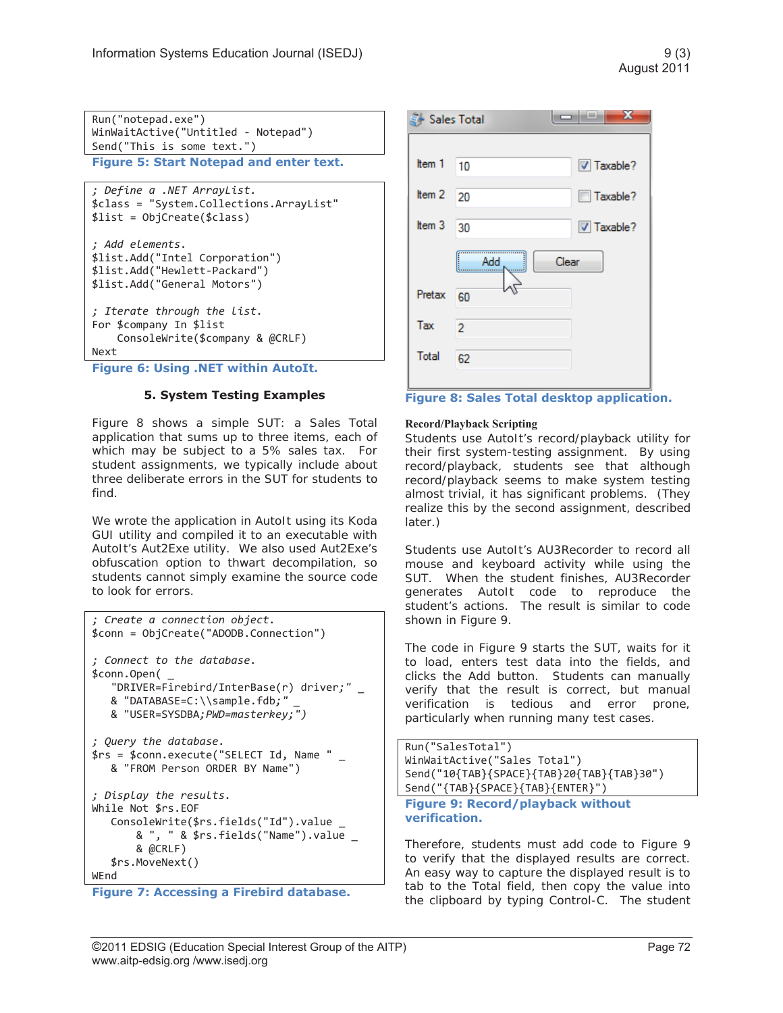Run("notepad.exe") WinWaitActive("Untitled - Notepad") Send("This is some text.") **Figure 5: Start Notepad and enter text.** 

```
; Define a .NET ArrayList. 
$class = "System.Collections.ArrayList" 
$list = ObjCreate($class) 
; Add elements. 
$list.Add("Intel Corporation") 
$list.Add("Hewlett-Packard") 
$list.Add("General Motors") 
; Iterate through the list. 
For $company In $list
```
 ConsoleWrite(\$company & @CRLF) Next

**Figure 6: Using .NET within AutoIt.** 

# **5. System Testing Examples**

Figure 8 shows a simple SUT: a Sales Total application that sums up to three items, each of which may be subject to a 5% sales tax. For student assignments, we typically include about three deliberate errors in the SUT for students to find.

We wrote the application in AutoIt using its Koda GUI utility and compiled it to an executable with AutoIt's Aut2Exe utility. We also used Aut2Exe's obfuscation option to thwart decompilation, so students cannot simply examine the source code to look for errors.

```
; Create a connection object. 
$conn = ObjCreate("ADODB.Connection") 
; Connect to the database. 
$conn.Open( _ 
    "DRIVER=Firebird/InterBase(r) driver;" _ 
    & "DATABASE=C:\\sample.fdb;" _ 
    & "USER=SYSDBA;PWD=masterkey;") 
; Query the database. 
$rs = $conn.execute("SELECT Id, Name " _ 
   & "FROM Person ORDER BY Name") 
; Display the results. 
While Not $rs.EOF 
    ConsoleWrite($rs.fields("Id").value _ 
        & ", " & $rs.fields("Name").value _ 
        & @CRLF) 
    $rs.MoveNext() 
WEnd
```
**Figure 7: Accessing a Firebird database.** 



#### **Record/Playback Scripting**

Students use AutoIt's record/playback utility for their first system-testing assignment. By using record/playback, students see that although record/playback seems to make system testing almost trivial, it has significant problems. (They realize this by the second assignment, described later.)

Students use AutoIt's AU3Recorder to record all mouse and keyboard activity while using the SUT. When the student finishes, AU3Recorder generates AutoIt code to reproduce the student's actions. The result is similar to code shown in Figure 9.

The code in Figure 9 starts the SUT, waits for it to load, enters test data into the fields, and clicks the Add button. Students can manually verify that the result is correct, but manual verification is tedious and error prone, particularly when running many test cases.

```
Run("SalesTotal") 
WinWaitActive("Sales Total") 
Send("10{TAB}{SPACE}{TAB}20{TAB}{TAB}30") 
Send("{TAB}{SPACE}{TAB}{ENTER}")
```
#### **Figure 9: Record/playback without verification.**

Therefore, students must add code to Figure 9 to verify that the displayed results are correct. An easy way to capture the displayed result is to tab to the Total field, then copy the value into the clipboard by typing Control-C. The student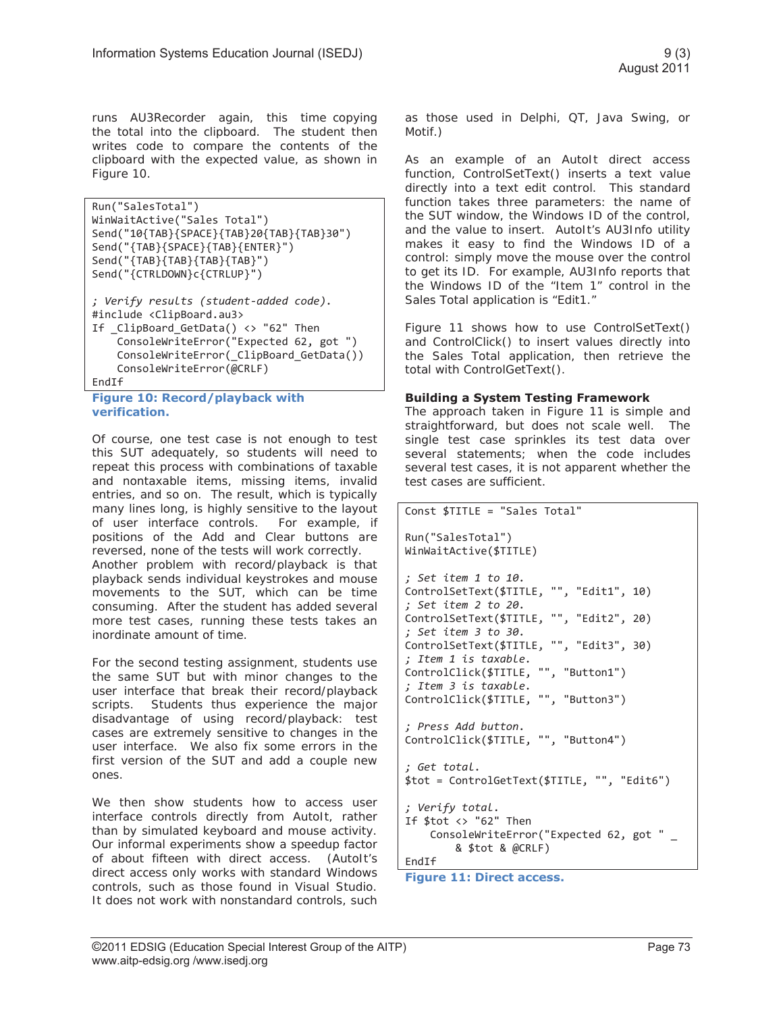runs AU3Recorder again, this time copying the total into the clipboard. The student then writes code to compare the contents of the clipboard with the expected value, as shown in Figure 10.

```
Run("SalesTotal") 
WinWaitActive("Sales Total") 
Send("10{TAB}{SPACE}{TAB}20{TAB}{TAB}30") 
Send("{TAB}{SPACE}{TAB}{ENTER}") 
Send("{TAB}{TAB}{TAB}{TAB}") 
Send("{CTRLDOWN}c{CTRLUP}") 
; Verify results (student-added code). 
#include <ClipBoard.au3> 
If ClipBoard GetData() <> "62" Then
     ConsoleWriteError("Expected 62, got ") 
     ConsoleWriteError(_ClipBoard_GetData()) 
     ConsoleWriteError(@CRLF) 
EndIf
```

```
Figure 10: Record/playback with 
verification.
```
Of course, one test case is not enough to test this SUT adequately, so students will need to repeat this process with combinations of taxable and nontaxable items, missing items, invalid entries, and so on. The result, which is typically many lines long, is highly sensitive to the layout of user interface controls. For example, if positions of the Add and Clear buttons are reversed, none of the tests will work correctly. Another problem with record/playback is that playback sends individual keystrokes and mouse movements to the SUT, which can be time consuming. After the student has added several more test cases, running these tests takes an inordinate amount of time.

For the second testing assignment, students use the same SUT but with minor changes to the user interface that break their record/playback scripts. Students thus experience the major disadvantage of using record/playback: test cases are extremely sensitive to changes in the user interface. We also fix some errors in the first version of the SUT and add a couple new ones.

We then show students how to access user interface controls directly from AutoIt, rather than by simulated keyboard and mouse activity. Our informal experiments show a speedup factor of about fifteen with direct access. (AutoIt's direct access only works with standard Windows controls, such as those found in Visual Studio. It does not work with nonstandard controls, such as those used in Delphi, QT, Java Swing, or Motif.)

As an example of an AutoIt direct access function, ControlSetText() inserts a text value directly into a text edit control. This standard function takes three parameters: the name of the SUT window, the Windows ID of the control, and the value to insert. AutoIt's AU3Info utility makes it easy to find the Windows ID of a control: simply move the mouse over the control to get its ID. For example, AU3Info reports that the Windows ID of the "Item 1" control in the Sales Total application is "Edit1."

Figure 11 shows how to use ControlSetText() and ControlClick() to insert values directly into the Sales Total application, then retrieve the total with ControlGetText().

#### **Building a System Testing Framework**

The approach taken in Figure 11 is simple and straightforward, but does not scale well. The single test case sprinkles its test data over several statements; when the code includes several test cases, it is not apparent whether the test cases are sufficient.

```
Const $TITLE = "Sales Total"
```

```
Run("SalesTotal") 
WinWaitActive($TITLE)
```

```
; Set item 1 to 10. 
ControlSetText($TITLE, "", "Edit1", 10) 
; Set item 2 to 20. 
ControlSetText($TITLE, "", "Edit2", 20) 
; Set item 3 to 30. 
ControlSetText($TITLE, "", "Edit3", 30) 
; Item 1 is taxable. 
ControlClick($TITLE, "", "Button1") 
; Item 3 is taxable. 
ControlClick($TITLE, "", "Button3") 
; Press Add button. 
ControlClick($TITLE, "", "Button4") 
; Get total. 
$tot = ControlGetText($TITLE, "", "Edit6") 
; Verify total. 
If $tot <> "62" Then 
     ConsoleWriteError("Expected 62, got " _
```

```
 & $tot & @CRLF) 
EndIf
```

```
Figure 11: Direct access.
```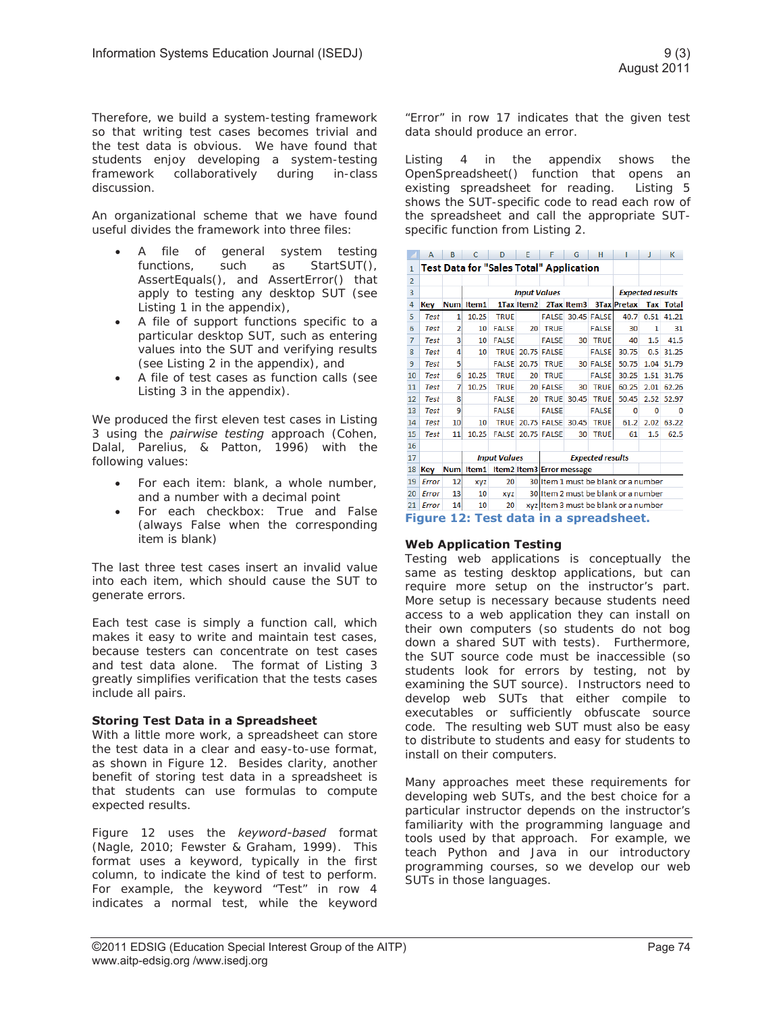Therefore, we build a system-testing framework so that writing test cases becomes trivial and the test data is obvious. We have found that students enjoy developing a system-testing framework collaboratively during in-class discussion.

An organizational scheme that we have found useful divides the framework into three files:

- A file of general system testing functions, such as StartSUT(), AssertEquals(), and AssertError() that apply to testing any desktop SUT (see Listing 1 in the appendix),
- A file of support functions specific to a particular desktop SUT, such as entering values into the SUT and verifying results (see Listing 2 in the appendix), and
- A file of test cases as function calls (see Listing 3 in the appendix).

We produced the first eleven test cases in Listing 3 using the *pairwise testing* approach (Cohen, Dalal, Parelius, & Patton, 1996) with the following values:

- For each item: blank, a whole number, and a number with a decimal point
- For each checkbox: True and False (always False when the corresponding item is blank)

The last three test cases insert an invalid value into each item, which should cause the SUT to generate errors.

Each test case is simply a function call, which makes it easy to write and maintain test cases, because testers can concentrate on test cases and test data alone. The format of Listing 3 greatly simplifies verification that the tests cases include all pairs.

#### **Storing Test Data in a Spreadsheet**

With a little more work, a spreadsheet can store the test data in a clear and easy-to-use format, as shown in Figure 12. Besides clarity, another benefit of storing test data in a spreadsheet is that students can use formulas to compute expected results.

Figure 12 uses the *keyword-based* format (Nagle, 2010; Fewster & Graham, 1999). This format uses a keyword, typically in the first column, to indicate the kind of test to perform. For example, the keyword "Test" in row 4 indicates a normal test, while the keyword

"Error" in row 17 indicates that the given test data should produce an error.

Listing 4 in the appendix shows the OpenSpreadsheet() function that opens an existing spreadsheet for reading. Listing 5 shows the SUT-specific code to read each row of the spreadsheet and call the appropriate SUTspecific function from Listing 2.

|                                        | А           | в          | C                   | D                                              | Е          | F                                    | G          | н            |                         | J    | к            |
|----------------------------------------|-------------|------------|---------------------|------------------------------------------------|------------|--------------------------------------|------------|--------------|-------------------------|------|--------------|
| $\mathbf{1}$                           |             |            |                     | <b>Test Data for "Sales Total" Application</b> |            |                                      |            |              |                         |      |              |
| $\overline{2}$                         |             |            |                     |                                                |            |                                      |            |              |                         |      |              |
| 3                                      |             |            | <b>Input Values</b> |                                                |            |                                      |            |              | <b>Expected results</b> |      |              |
| 4                                      | Kev         | <b>Num</b> | Item1               |                                                | 1Tax Item2 |                                      | 2Tax Item3 |              | 3Tax Pretax             | Tax  | <b>Total</b> |
| 5                                      | <b>Test</b> | 1          | 10.25               | <b>TRUE</b>                                    |            | <b>FALSE</b>                         |            | 30.45 FALSE  | 40.7                    | 0.51 | 41.21        |
| 6                                      | <b>Test</b> | 2          | 10                  | <b>FALSE</b>                                   | 20         | <b>TRUE</b>                          |            | <b>FALSE</b> | 30                      | 1    | 31           |
| 7                                      | <b>Test</b> | 3          | 10                  | <b>FALSE</b>                                   |            | <b>FALSE</b>                         | 30         | <b>TRUE</b>  | 40                      | 1.5  | 41.5         |
| 8                                      | <b>Test</b> | 4          | 10                  | <b>TRUE</b>                                    |            | 20.75 FALSE                          |            | <b>FALSE</b> | 30.75                   | 0.5  | 31.25        |
| 9                                      | <b>Test</b> | 5          |                     | <b>FALSE</b>                                   | 20.75      | <b>TRUE</b>                          | 30         | <b>FALSE</b> | 50.75                   | 1.04 | 51.79        |
| 10                                     | <b>Test</b> | 6          | 10.25               | <b>TRUE</b>                                    | 20         | <b>TRUE</b>                          |            | <b>FALSE</b> | 30.25                   | 1.51 | 31.76        |
| 11                                     | Test        | 7          | 10.25               | <b>TRUE</b>                                    |            | 20 FALSE                             | 30         | <b>TRUE</b>  | 60.25                   | 2.01 | 62.26        |
| 12                                     | <b>Test</b> | 8          |                     | <b>FALSE</b>                                   | 20         | <b>TRUE</b>                          | 30.45      | <b>TRUE</b>  | 50.45                   | 2.52 | 52.97        |
| 13                                     | <b>Test</b> | 9          |                     | <b>FALSE</b>                                   |            | <b>FALSE</b>                         |            | <b>FALSE</b> | 0                       | 0    | o            |
| 14                                     | <b>Test</b> | 10         | 10                  | <b>TRUE</b>                                    |            | 20.75 FALSE                          | 30.45      | <b>TRUE</b>  | 61.2                    | 2.02 | 63.22        |
| 15                                     | <b>Test</b> | 11         | 10.25               | <b>FALSE</b>                                   |            | <b>20.75 FALSE</b>                   | 30         | <b>TRUE</b>  | 61                      | 1.5  | 62.5         |
| 16                                     |             |            |                     |                                                |            |                                      |            |              |                         |      |              |
| 17                                     |             |            |                     | <b>Input Values</b>                            |            | <b>Expected results</b>              |            |              |                         |      |              |
| 18                                     | Key         | <b>Num</b> | Item1               |                                                |            | Item2 Item3 Error message            |            |              |                         |      |              |
| 19                                     | Error       | 12         | xyz                 | 20                                             |            | 30 Item 1 must be blank or a number  |            |              |                         |      |              |
| 20                                     | Error       | 13         | 10                  | <b>XVZ</b>                                     |            | 30 Item 2 must be blank or a number  |            |              |                         |      |              |
| 21                                     | Error       | 14         | 10                  | 20                                             |            | xyz Item 3 must be blank or a number |            |              |                         |      |              |
| Figure 12: Test data in a spreadsheet. |             |            |                     |                                                |            |                                      |            |              |                         |      |              |

#### **Web Application Testing**

Testing web applications is conceptually the same as testing desktop applications, but can require more setup on the instructor's part. More setup is necessary because students need access to a web application they can install on their own computers (so students do not bog down a shared SUT with tests). Furthermore, the SUT source code must be inaccessible (so students look for errors by testing, not by examining the SUT source). Instructors need to develop web SUTs that either compile to executables or sufficiently obfuscate source code. The resulting web SUT must also be easy to distribute to students and easy for students to install on their computers.

Many approaches meet these requirements for developing web SUTs, and the best choice for a particular instructor depends on the instructor's familiarity with the programming language and tools used by that approach. For example, we teach Python and Java in our introductory programming courses, so we develop our web SUTs in those languages.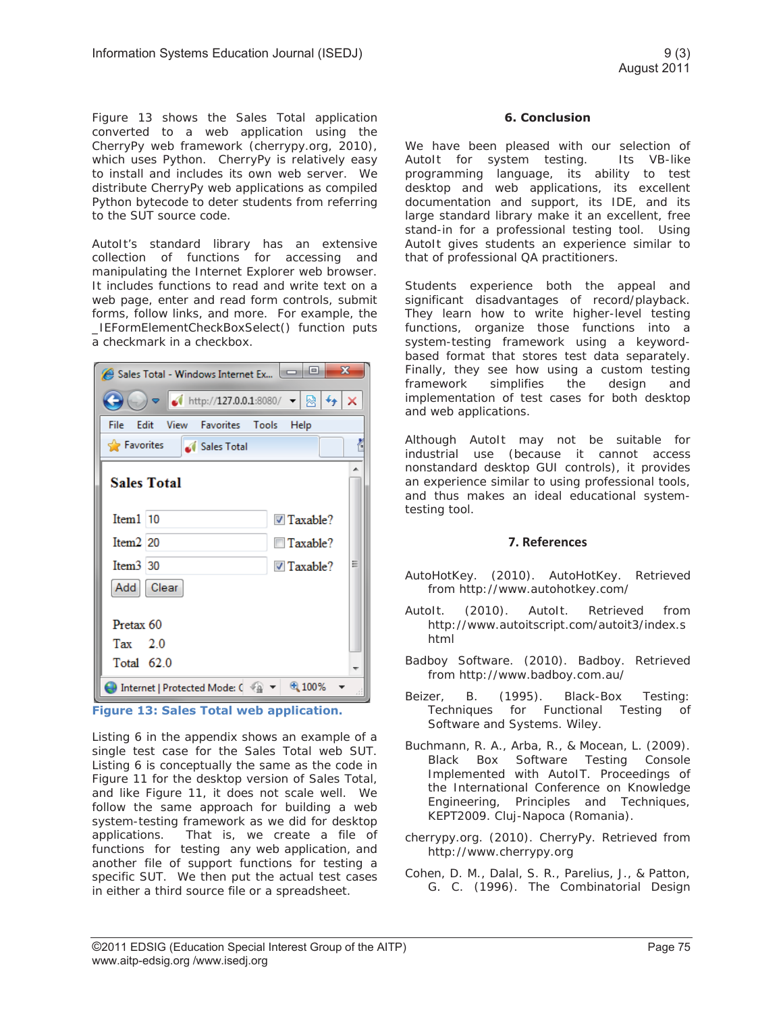Figure 13 shows the Sales Total application converted to a web application using the CherryPy web framework (cherrypy.org, 2010), which uses Python. CherryPy is relatively easy to install and includes its own web server. We distribute CherryPy web applications as compiled Python bytecode to deter students from referring to the SUT source code.

AutoIt's standard library has an extensive collection of functions for accessing and manipulating the Internet Explorer web browser. It includes functions to read and write text on a web page, enter and read form controls, submit forms, follow links, and more. For example, the \_IEFormElementCheckBoxSelect() function puts a checkmark in a checkbox.

| $\mathbf{x}$<br>▣<br>o l<br>Sales Total - Windows Internet Ex |                                                                                            |                          |   |  |  |  |  |  |  |
|---------------------------------------------------------------|--------------------------------------------------------------------------------------------|--------------------------|---|--|--|--|--|--|--|
|                                                               | $\bullet$ ( http://127.0.0.1:8080/ $\bullet$ $\otimes$ $\bullet$ $\bullet$ $\times$        |                          |   |  |  |  |  |  |  |
| File                                                          | Edit View Favorites Tools                                                                  | Help                     |   |  |  |  |  |  |  |
| <b>Favorites</b>                                              | Sales Total                                                                                |                          | 4 |  |  |  |  |  |  |
| <b>Sales Total</b>                                            |                                                                                            |                          |   |  |  |  |  |  |  |
| $Item1$   10                                                  |                                                                                            | $\triangledown$ Taxable? |   |  |  |  |  |  |  |
| Item <sub>2</sub> 20                                          |                                                                                            | $\Box$ Taxable?          |   |  |  |  |  |  |  |
| Item3 30                                                      |                                                                                            | $\triangledown$ Taxable? | Ξ |  |  |  |  |  |  |
| Add Clear                                                     |                                                                                            |                          |   |  |  |  |  |  |  |
| Pretax <sub>60</sub>                                          |                                                                                            |                          |   |  |  |  |  |  |  |
| Tax $2.0$<br>Total 62.0                                       |                                                                                            |                          |   |  |  |  |  |  |  |
|                                                               | $\bigoplus$ Internet   Protected Mode: ( $\bigoplus$ $\blacktriangledown$ $\bigoplus$ 100% |                          |   |  |  |  |  |  |  |
| . .<br>a a<br>.                                               |                                                                                            |                          |   |  |  |  |  |  |  |

**Figure 13: Sales Total web application.** 

Listing 6 in the appendix shows an example of a single test case for the Sales Total web SUT. Listing 6 is conceptually the same as the code in Figure 11 for the desktop version of Sales Total, and like Figure 11, it does not scale well. We follow the same approach for building a web system-testing framework as we did for desktop applications. That is, we create a file of functions for testing any web application, and another file of support functions for testing a specific SUT. We then put the actual test cases in either a third source file or a spreadsheet.

## **6. Conclusion**

We have been pleased with our selection of AutoIt for system testing. Its VB-like programming language, its ability to test desktop and web applications, its excellent documentation and support, its IDE, and its large standard library make it an excellent, free stand-in for a professional testing tool. Using AutoIt gives students an experience similar to that of professional QA practitioners.

Students experience both the appeal and significant disadvantages of record/playback. They learn how to write higher-level testing functions, organize those functions into a system-testing framework using a keywordbased format that stores test data separately. Finally, they see how using a custom testing framework simplifies the design and implementation of test cases for both desktop and web applications.

Although AutoIt may not be suitable for industrial use (because it cannot access nonstandard desktop GUI controls), it provides an experience similar to using professional tools, and thus makes an ideal educational systemtesting tool.

# **7. References**

- AutoHotKey. (2010). AutoHotKey. Retrieved from http://www.autohotkey.com/
- AutoIt. (2010). AutoIt. Retrieved from http://www.autoitscript.com/autoit3/index.s html
- Badboy Software. (2010). Badboy. Retrieved from http://www.badboy.com.au/
- Beizer, B. (1995). Black-Box Testing: Techniques for Functional Testing of Software and Systems. Wiley.
- Buchmann, R. A., Arba, R., & Mocean, L. (2009). Black Box Software Testing Console Implemented with AutoIT. Proceedings of the International Conference on Knowledge Engineering, Principles and Techniques, KEPT2009. Cluj-Napoca (Romania).
- cherrypy.org. (2010). CherryPy. Retrieved from http://www.cherrypy.org
- Cohen, D. M., Dalal, S. R., Parelius, J., & Patton, G. C. (1996). The Combinatorial Design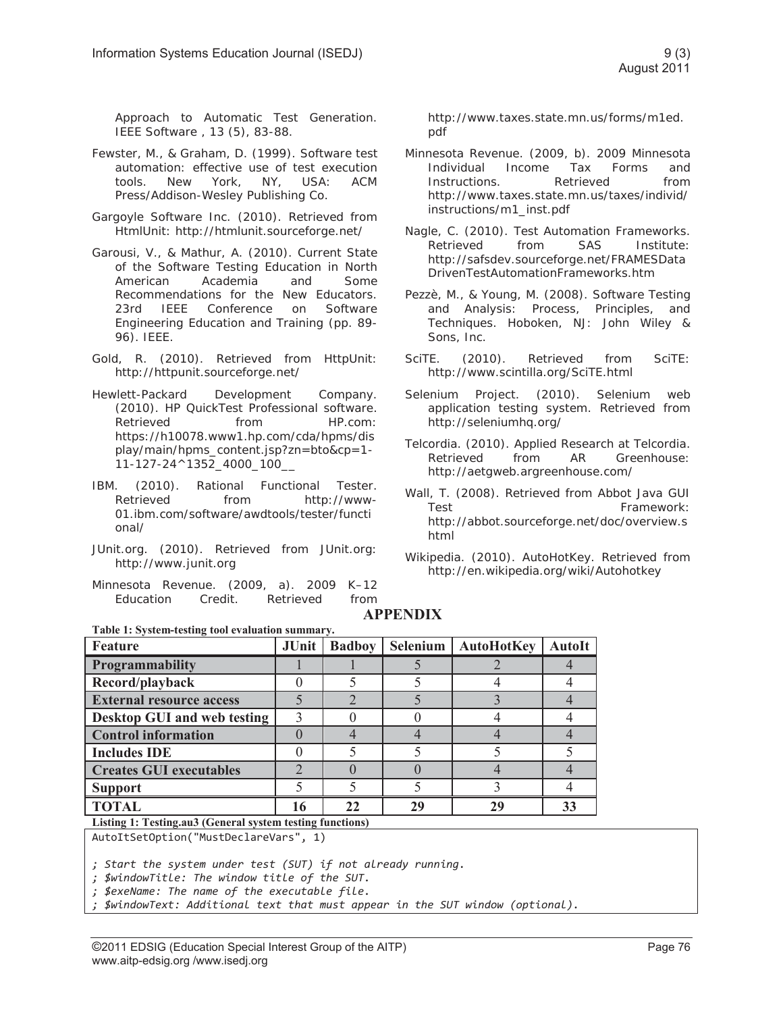Approach to Automatic Test Generation. IEEE Software , 13 (5), 83-88.

- Fewster, M., & Graham, D. (1999). Software test automation: effective use of test execution tools. New York, NY, USA: ACM Press/Addison-Wesley Publishing Co.
- Gargoyle Software Inc. (2010). Retrieved from HtmlUnit: http://htmlunit.sourceforge.net/
- Garousi, V., & Mathur, A. (2010). Current State of the Software Testing Education in North American Academia and Some Recommendations for the New Educators. 23rd IEEE Conference on Software Engineering Education and Training (pp. 89- 96). IEEE.
- Gold, R. (2010). Retrieved from HttpUnit: http://httpunit.sourceforge.net/
- Hewlett-Packard Development Company. (2010). HP QuickTest Professional software. Retrieved from HP.com: https://h10078.www1.hp.com/cda/hpms/dis play/main/hpms\_content.jsp?zn=bto&cp=1- 11-127-24^1352\_4000\_100\_\_
- IBM. (2010). Rational Functional Tester. Retrieved from http://www-01.ibm.com/software/awdtools/tester/functi onal/
- JUnit.org. (2010). Retrieved from JUnit.org: http://www.junit.org
- Minnesota Revenue. (2009, a). 2009 K–12 Education Credit. Retrieved from

http://www.taxes.state.mn.us/forms/m1ed. pdf

- Minnesota Revenue. (2009, b). 2009 Minnesota Individual Income Tax Forms and Instructions. Retrieved from http://www.taxes.state.mn.us/taxes/individ/ instructions/m1\_inst.pdf
- Nagle, C. (2010). Test Automation Frameworks. Retrieved from SAS Institute: http://safsdev.sourceforge.net/FRAMESData DrivenTestAutomationFrameworks.htm
- Pezzè, M., & Young, M. (2008). Software Testing and Analysis: Process, Principles, and Techniques. Hoboken, NJ: John Wiley & Sons, Inc.
- SciTE. (2010). Retrieved from SciTE: http://www.scintilla.org/SciTE.html
- Selenium Project. (2010). Selenium web application testing system. Retrieved from http://seleniumhq.org/
- Telcordia. (2010). Applied Research at Telcordia. Retrieved from AR Greenhouse: http://aetgweb.argreenhouse.com/
- Wall, T. (2008). Retrieved from Abbot Java GUI Test **Framework:** http://abbot.sourceforge.net/doc/overview.s html
- Wikipedia. (2010). AutoHotKey. Retrieved from http://en.wikipedia.org/wiki/Autohotkey

# **APPENDIX**

| Table 1: System-testing tool evaluation summary. |       |               |                 |                   |               |  |  |
|--------------------------------------------------|-------|---------------|-----------------|-------------------|---------------|--|--|
| Feature                                          | JUnit | <b>Badboy</b> | <b>Selenium</b> | <b>AutoHotKey</b> | <b>AutoIt</b> |  |  |
| <b>Programmability</b>                           |       |               |                 |                   |               |  |  |
| Record/playback                                  |       |               |                 |                   |               |  |  |
| <b>External resource access</b>                  |       |               |                 |                   |               |  |  |
| Desktop GUI and web testing                      |       |               |                 |                   |               |  |  |
| <b>Control information</b>                       |       |               |                 |                   |               |  |  |
| <b>Includes IDE</b>                              |       |               |                 |                   |               |  |  |
| <b>Creates GUI executables</b>                   |       |               |                 |                   |               |  |  |
| <b>Support</b>                                   |       |               |                 |                   |               |  |  |
| <b>TOTAL</b>                                     | 16    | 22            | 29              | 29                | 33            |  |  |
|                                                  |       |               |                 |                   |               |  |  |

**Listing 1: Testing.au3 (General system testing functions)** AutoItSetOption("MustDeclareVars", 1)

*; Start the system under test (SUT) if not already running. ; \$windowTitle: The window title of the SUT.* 

*; \$exeName: The name of the executable file.* 

*; \$windowText: Additional text that must appear in the SUT window (optional).*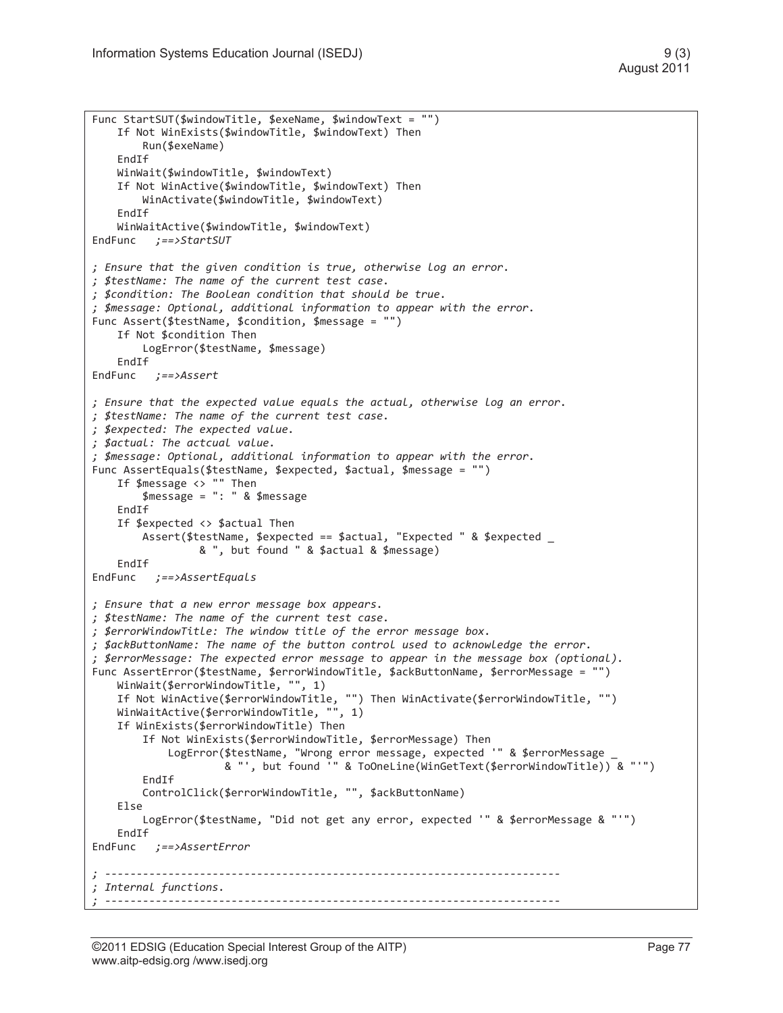```
Func StartSUT($windowTitle, $exeName, $windowText = "") 
     If Not WinExists($windowTitle, $windowText) Then 
         Run($exeName) 
     EndIf 
     WinWait($windowTitle, $windowText) 
     If Not WinActive($windowTitle, $windowText) Then 
         WinActivate($windowTitle, $windowText) 
    EndTf
     WinWaitActive($windowTitle, $windowText) 
EndFunc ;==>StartSUT 
; Ensure that the given condition is true, otherwise log an error. 
; $testName: The name of the current test case. 
; $condition: The Boolean condition that should be true. 
; $message: Optional, additional information to appear with the error. 
Func Assert($testName, $condition, $message = "") 
    If Not $condition Then 
         LogError($testName, $message) 
     EndIf 
EndFunc ;==>Assert 
; Ensure that the expected value equals the actual, otherwise log an error. 
; $testName: The name of the current test case. 
; $expected: The expected value. 
; $actual: The actcual value. 
; $message: Optional, additional information to appear with the error. 
Func AssertEquals($testName, $expected, $actual, $message = "") 
     If $message <> "" Then 
         $message = ": " & $message 
     EndIf 
     If $expected <> $actual Then 
         Assert($testName, $expected == $actual, "Expected " & $expected _ 
                  & ", but found " & $actual & $message) 
    EndTf
EndFunc ;==>AssertEquals 
; Ensure that a new error message box appears. 
; $testName: The name of the current test case. 
; $errorWindowTitle: The window title of the error message box. 
; $ackButtonName: The name of the button control used to acknowledge the error. 
; $errorMessage: The expected error message to appear in the message box (optional). 
Func AssertError($testName, $errorWindowTitle, $ackButtonName, $errorMessage = "") 
     WinWait($errorWindowTitle, "", 1) 
     If Not WinActive($errorWindowTitle, "") Then WinActivate($errorWindowTitle, "") 
     WinWaitActive($errorWindowTitle, "", 1) 
     If WinExists($errorWindowTitle) Then 
         If Not WinExists($errorWindowTitle, $errorMessage) Then 
             LogError($testName, "Wrong error message, expected '" & $errorMessage _ 
                       & "', but found '" & ToOneLine(WinGetText($errorWindowTitle)) & "'") 
        Fnd<sub>Tf</sub>
         ControlClick($errorWindowTitle, "", $ackButtonName) 
     Else 
         LogError($testName, "Did not get any error, expected '" & $errorMessage & "'") 
     EndIf 
EndFunc ;==>AssertError 
; ------------------------------------------------------------------------ 
; Internal functions. 
 ; ------------------------------------------------------------------------
```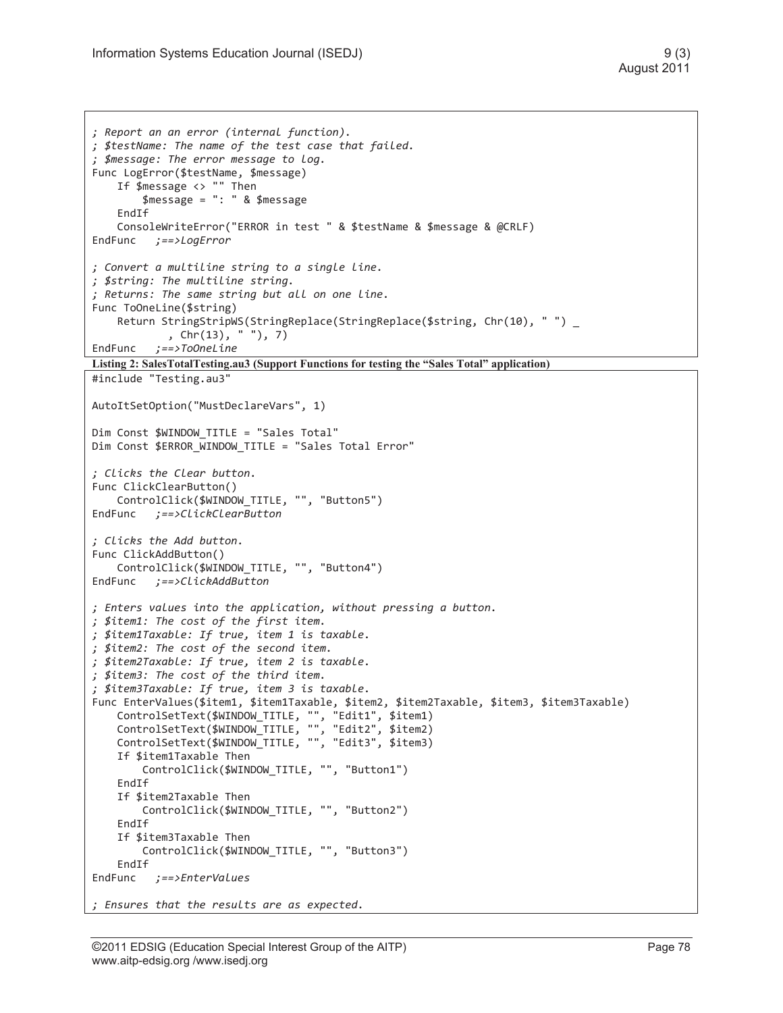```
; Report an an error (internal function). 
; $testName: The name of the test case that failed. 
; $message: The error message to log. 
Func LogError($testName, $message) 
     If $message <> "" Then 
         $message = ": " & $message 
    EndTf
     ConsoleWriteError("ERROR in test " & $testName & $message & @CRLF) 
EndFunc ;==>LogError 
; Convert a multiline string to a single line. 
; $string: The multiline string. 
; Returns: The same string but all on one line. 
Func ToOneLine($string) 
    Return StringStripWS(StringReplace(StringReplace($string, Chr(10), " ") _
             , Chr(13), " "), 7) 
EndFunc ;==>ToOneLine 
Listing 2: SalesTotalTesting.au3 (Support Functions for testing the "Sales Total" application)
#include "Testing.au3" 
AutoItSetOption("MustDeclareVars", 1) 
Dim Const $WINDOW TITLE = "Sales Total"
Dim Const $ERROR WINDOW TITLE = "Sales Total Error"
; Clicks the Clear button. 
Func ClickClearButton() 
   ControlClick($WINDOW TITLE, "", "Button5")
EndFunc ;==>ClickClearButton 
; Clicks the Add button. 
Func ClickAddButton() 
     ControlClick($WINDOW_TITLE, "", "Button4") 
EndFunc ;==>ClickAddButton 
; Enters values into the application, without pressing a button. 
; $item1: The cost of the first item. 
; $item1Taxable: If true, item 1 is taxable. 
; $item2: The cost of the second item. 
; $item2Taxable: If true, item 2 is taxable. 
; $item3: The cost of the third item. 
; $item3Taxable: If true, item 3 is taxable. 
Func EnterValues($item1, $item1Taxable, $item2, $item2Taxable, $item3, $item3Taxable) 
 ControlSetText($WINDOW_TITLE, "", "Edit1", $item1) 
 ControlSetText($WINDOW_TITLE, "", "Edit2", $item2) 
 ControlSetText($WINDOW_TITLE, "", "Edit3", $item3) 
     If $item1Taxable Then 
        ControlClick($WINDOW TITLE, "", "Button1")
     EndIf 
     If $item2Taxable Then 
        ControlClick($WINDOW TITLE, "", "Button2")
     EndIf 
     If $item3Taxable Then 
         ControlClick($WINDOW_TITLE, "", "Button3") 
     EndIf 
EndFunc ;==>EnterValues 
; Ensures that the results are as expected.
```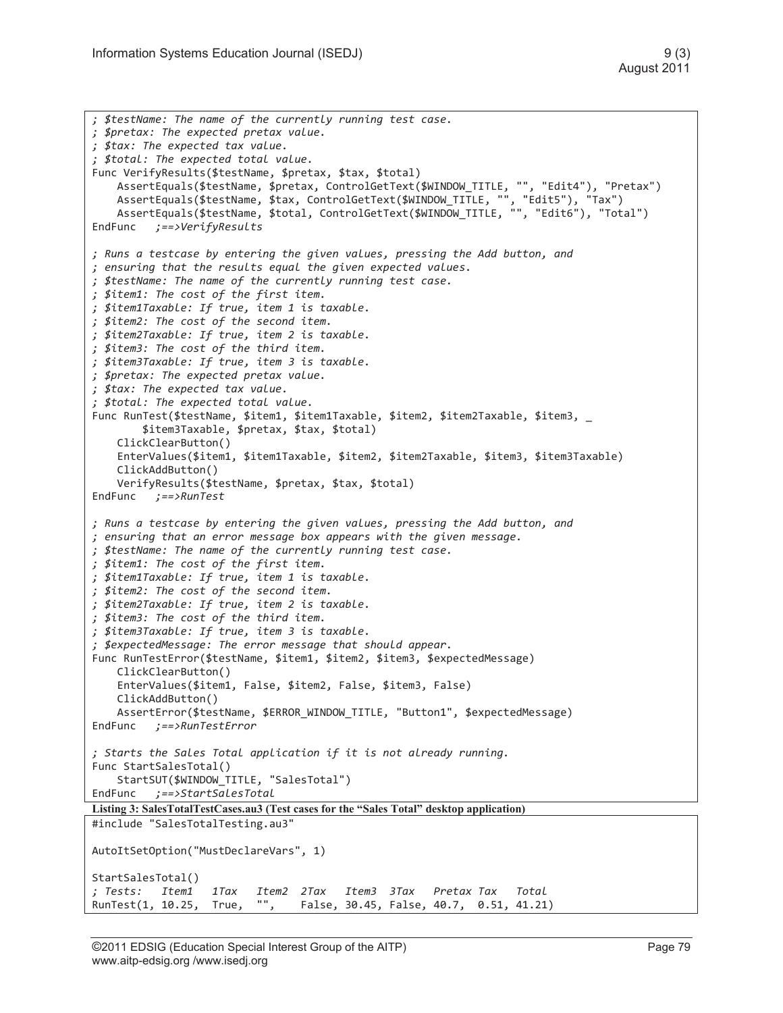```
; $testName: The name of the currently running test case. 
; $pretax: The expected pretax value. 
; $tax: The expected tax value. 
; $total: The expected total value. 
Func VerifyResults($testName, $pretax, $tax, $total) 
     AssertEquals($testName, $pretax, ControlGetText($WINDOW_TITLE, "", "Edit4"), "Pretax") 
     AssertEquals($testName, $tax, ControlGetText($WINDOW_TITLE, "", "Edit5"), "Tax") 
     AssertEquals($testName, $total, ControlGetText($WINDOW_TITLE, "", "Edit6"), "Total") 
EndFunc ;==>VerifyResults 
; Runs a testcase by entering the given values, pressing the Add button, and 
; ensuring that the results equal the given expected values. 
; $testName: The name of the currently running test case. 
; $item1: The cost of the first item. 
; $item1Taxable: If true, item 1 is taxable. 
; $item2: The cost of the second item. 
; $item2Taxable: If true, item 2 is taxable. 
; $item3: The cost of the third item. 
; $item3Taxable: If true, item 3 is taxable. 
; $pretax: The expected pretax value. 
; $tax: The expected tax value. 
; $total: The expected total value. 
Func RunTest($testName, $item1, $item1Taxable, $item2, $item2Taxable, $item3, _ 
         $item3Taxable, $pretax, $tax, $total) 
     ClickClearButton() 
     EnterValues($item1, $item1Taxable, $item2, $item2Taxable, $item3, $item3Taxable) 
     ClickAddButton() 
     VerifyResults($testName, $pretax, $tax, $total) 
EndFunc ;==>RunTest 
; Runs a testcase by entering the given values, pressing the Add button, and 
; ensuring that an error message box appears with the given message. 
; $testName: The name of the currently running test case. 
; $item1: The cost of the first item. 
; $item1Taxable: If true, item 1 is taxable. 
; $item2: The cost of the second item. 
; $item2Taxable: If true, item 2 is taxable. 
; $item3: The cost of the third item. 
; $item3Taxable: If true, item 3 is taxable. 
; $expectedMessage: The error message that should appear. 
Func RunTestError($testName, $item1, $item2, $item3, $expectedMessage) 
     ClickClearButton() 
     EnterValues($item1, False, $item2, False, $item3, False) 
     ClickAddButton() 
     AssertError($testName, $ERROR_WINDOW_TITLE, "Button1", $expectedMessage) 
EndFunc ;==>RunTestError 
; Starts the Sales Total application if it is not already running. 
Func StartSalesTotal() 
     StartSUT($WINDOW_TITLE, "SalesTotal") 
EndFunc ;==>StartSalesTotal 
Listing 3: SalesTotalTestCases.au3 (Test cases for the "Sales Total" desktop application)
#include "SalesTotalTesting.au3" 
AutoItSetOption("MustDeclareVars", 1) 
StartSalesTotal() 
; Tests: Item1 1Tax Item2 2Tax Item3 3Tax Pretax Tax Total 
                   True, "", False, 30.45, False, 40.7, 0.51, 41.21)
```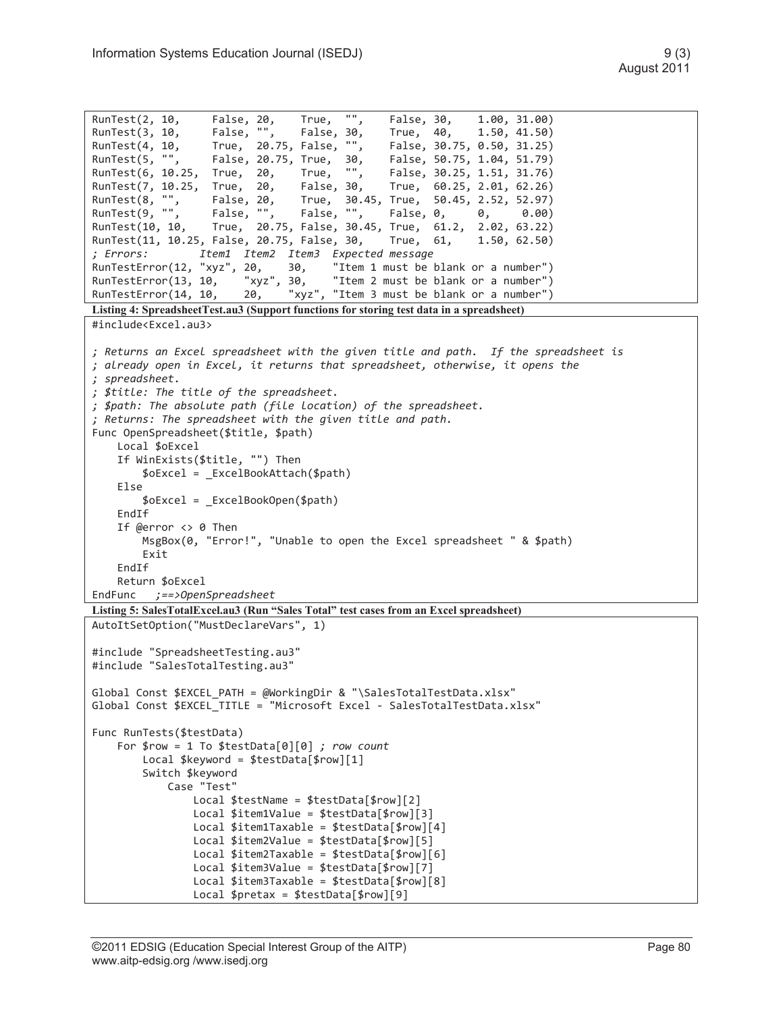```
RunTest(2, 10, False, 20, True, "", False, 30, 1.00, 31.00) 
RunTest(3, 10, False, "", False, 30, True, 40, 1.50, 41.50) 
RunTest(4, 10, True, 20.75, False, "", False, 30.75, 0.50, 31.25) 
RunTest(5, "", False, 20.75, True, 30, False, 50.75, 1.04, 51.79) 
RunTest(6, 10.25, True, 20, True, "", False, 30.25, 1.51, 31.76)<br>RunTest(7, 10.25, True, 20, False, 30, True, 60.25, 2.01, 62.26)
RunTest(7, 10.25, True, 20, False, 30,<br>RunTest(8, "", False, 20, True, 30.4
RunTest(8, "", False, 20, True, 30.45, True, 50.45, 2.52, 52.97) 
                                False, "", False, 0, 0, 0.00)
RunTest(10, 10, True, 20.75, False, 30.45, True, 61.2, 2.02, 63.22) 
RunTest(11, 10.25, False, 20.75, False, 30, True, 61, 1.50, 62.50) 
; Errors: Item1 Item2 Item3 Expected message 
RunTestError(12, "xyz", 20, 30, "Item 1 must be blank or a number") 
                        "xyz", 30, "Item 2 must be blank or a number")
RunTestError(14, 10, 20, "xyz", "Item 3 must be blank or a number")
Listing 4: SpreadsheetTest.au3 (Support functions for storing test data in a spreadsheet) 
#include<Excel.au3> 
; Returns an Excel spreadsheet with the given title and path. If the spreadsheet is 
; already open in Excel, it returns that spreadsheet, otherwise, it opens the 
; spreadsheet. 
; $title: The title of the spreadsheet. 
; $path: The absolute path (file location) of the spreadsheet. 
; Returns: The spreadsheet with the given title and path. 
Func OpenSpreadsheet($title, $path) 
    Local $oExcel 
     If WinExists($title, "") Then 
         $oExcel = _ExcelBookAttach($path) 
     Else 
         $oExcel = _ExcelBookOpen($path) 
     EndIf 
     If @error <> 0 Then 
         MsgBox(0, "Error!", "Unable to open the Excel spreadsheet " & $path) 
         Exit 
     EndIf 
     Return $oExcel 
EndFunc ;==>OpenSpreadsheet 
Listing 5: SalesTotalExcel.au3 (Run "Sales Total" test cases from an Excel spreadsheet)
AutoItSetOption("MustDeclareVars", 1) 
#include "SpreadsheetTesting.au3" 
#include "SalesTotalTesting.au3" 
Global Const $EXCEL PATH = @WorkingDir & "\SalesTotalTestData.xlsx"
Global Const $EXCEL TITLE = "Microsoft Excel - SalesTotalTestData.xlsx"
Func RunTests($testData) 
     For $row = 1 To $testData[0][0] ; row count 
         Local $keyword = $testData[$row][1] 
         Switch $keyword 
             Case "Test" 
                 Local $testName = $testData[$row][2] 
                Local $item1Value = $testData[$row][3]
                 Local $item1Taxable = $testData[$row][4] 
                Local $item2Value = $testData[$row][5]
                 Local $item2Taxable = $testData[$row][6] 
                Local $item3Value = $testData[$row][7]
                 Local $item3Taxable = $testData[$row][8] 
                 Local $pretax = $testData[$row][9]
```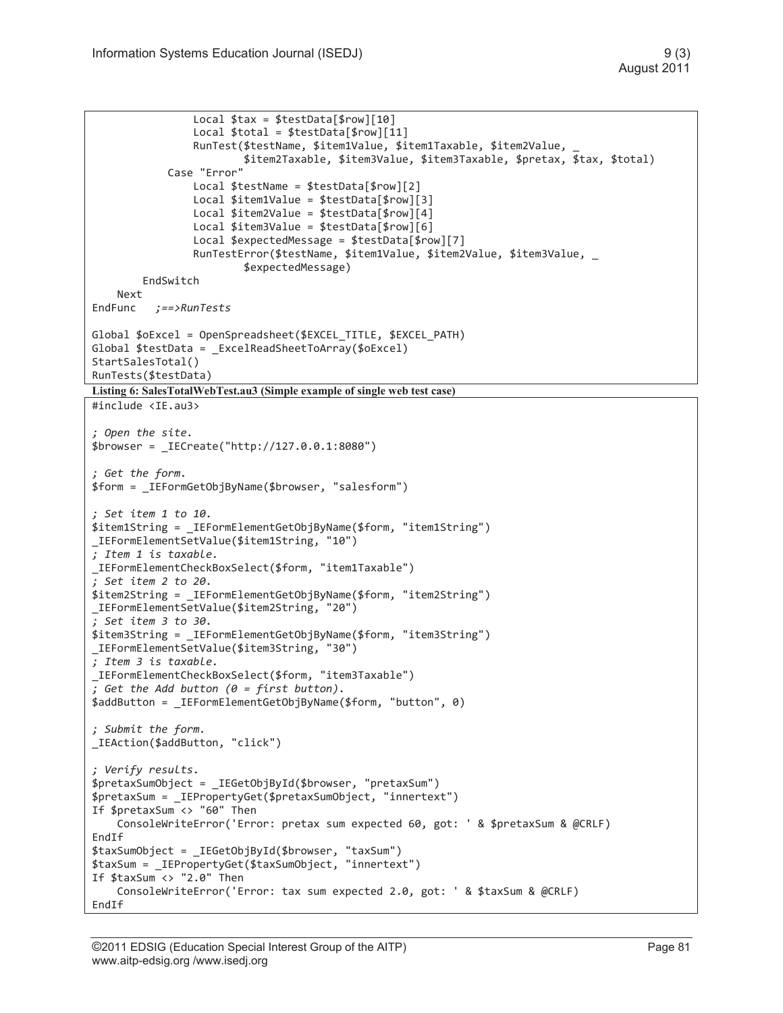```
 Local $tax = $testData[$row][10] 
                  Local $total = $testData[$row][11] 
                  RunTest($testName, $item1Value, $item1Taxable, $item2Value, _ 
                          $item2Taxable, $item3Value, $item3Taxable, $pretax, $tax, $total) 
             Case "Error" 
                Local $testName = $testData[$row][2]
                 Local $item1Value = $testData[$row][3] 
                Local $item2Value = $testData[$row][4]
                  Local $item3Value = $testData[$row][6] 
                  Local $expectedMessage = $testData[$row][7] 
                 RunTestError($testName, $item1Value, $item2Value, $item3Value, _
                          $expectedMessage) 
         EndSwitch 
     Next 
EndFunc ;==>RunTests 
Global $oExcel = OpenSpreadsheet($EXCEL_TITLE, $EXCEL_PATH) 
Global $testData = ExcelReadSheetToArray($oExcel)
StartSalesTotal() 
RunTests($testData) 
Listing 6: SalesTotalWebTest.au3 (Simple example of single web test case) 
#include <IE.au3> 
; Open the site. 
$browser = _IECreate("http://127.0.0.1:8080") 
; Get the form. 
$form = _IEFormGetObjByName($browser, "salesform") 
; Set item 1 to 10. 
$item1String = _IEFormElementGetObjByName($form, "item1String") 
_IEFormElementSetValue($item1String, "10") 
; Item 1 is taxable. 
_IEFormElementCheckBoxSelect($form, "item1Taxable") 
; Set item 2 to 20. 
$item2String = _IEFormElementGetObjByName($form, "item2String") 
_IEFormElementSetValue($item2String, "20") 
; Set item 3 to 30. 
$item3String = _IEFormElementGetObjByName($form, "item3String") 
_IEFormElementSetValue($item3String, "30") 
; Item 3 is taxable. 
_IEFormElementCheckBoxSelect($form, "item3Taxable") 
; Get the Add button (0 = first button). 
$addButton = _IEFormElementGetObjByName($form, "button", 0) 
; Submit the form. 
_IEAction($addButton, "click") 
; Verify results. 
$pretaxSumObject = _IEGetObjById($browser, "pretaxSum") 
$pretaxSum = _IEPropertyGet($pretaxSumObject, "innertext") 
If $pretaxSum <> "60" Then 
     ConsoleWriteError('Error: pretax sum expected 60, got: ' & $pretaxSum & @CRLF) 
EndIf 
$taxSumObject = _IEGetObjById($browser, "taxSum") 
$taxSum = _IEPropertyGet($taxSumObject, "innertext") 
If $taxSum <> "2.0" Then 
     ConsoleWriteError('Error: tax sum expected 2.0, got: ' & $taxSum & @CRLF) 
EndIf
```